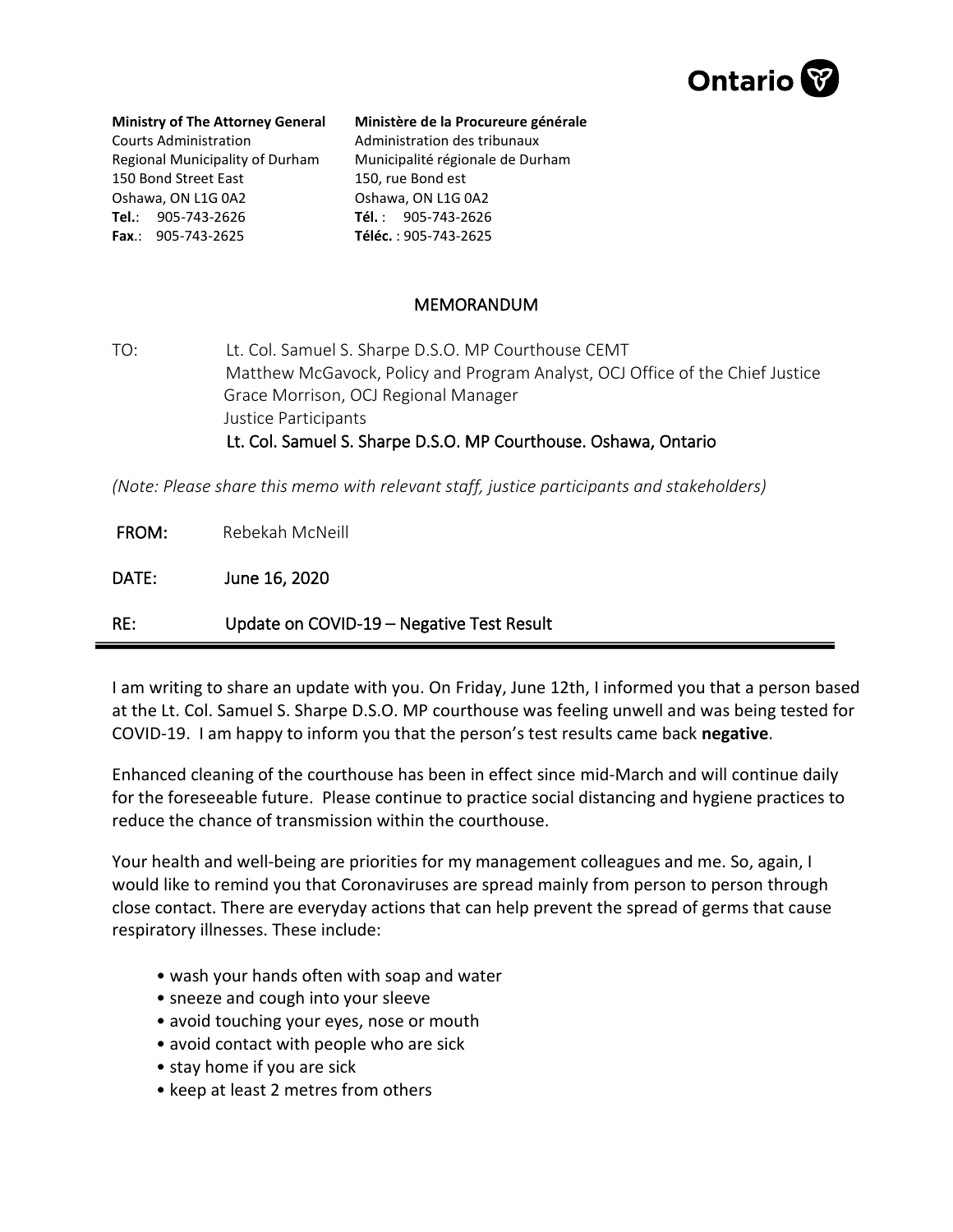

## **Ministry of The Attorney General**

Courts Administration Regional Municipality of Durham 150 Bond Street East Oshawa, ON L1G 0A2 **Tel.**: 905-743-2626 **Fax**.: 905-743-2625

## **Ministère de la Procureure générale**  Administration des tribunaux Municipalité régionale de Durham

150, rue Bond est Oshawa, ON L1G 0A2 **Tél.** : 905-743-2626 **Téléc.** : 905-743-2625

## MEMORANDUM

TO: Lt. Col. Samuel S. Sharpe D.S.O. MP Courthouse CEMT Matthew McGavock, Policy and Program Analyst, OCJ Office of the Chief Justice Grace Morrison, OCJ Regional Manager Justice Participants Lt. Col. Samuel S. Sharpe D.S.O. MP Courthouse. Oshawa, Ontario

*(Note: Please share this memo with relevant staff, justice participants and stakeholders)*

FROM: Rebekah McNeill

DATE: June 16, 2020

RE: Update on COVID-19 – Negative Test Result

I am writing to share an update with you. On Friday, June 12th, I informed you that a person based at the Lt. Col. Samuel S. Sharpe D.S.O. MP courthouse was feeling unwell and was being tested for COVID-19. I am happy to inform you that the person's test results came back **negative**.

Enhanced cleaning of the courthouse has been in effect since mid-March and will continue daily for the foreseeable future. Please continue to practice social distancing and hygiene practices to reduce the chance of transmission within the courthouse.

Your health and well-being are priorities for my management colleagues and me. So, again, I would like to remind you that Coronaviruses are spread mainly from person to person through close contact. There are everyday actions that can help prevent the spread of germs that cause respiratory illnesses. These include:

- wash your hands often with soap and water
- sneeze and cough into your sleeve
- avoid touching your eyes, nose or mouth
- avoid contact with people who are sick
- stay home if you are sick
- keep at least 2 metres from others